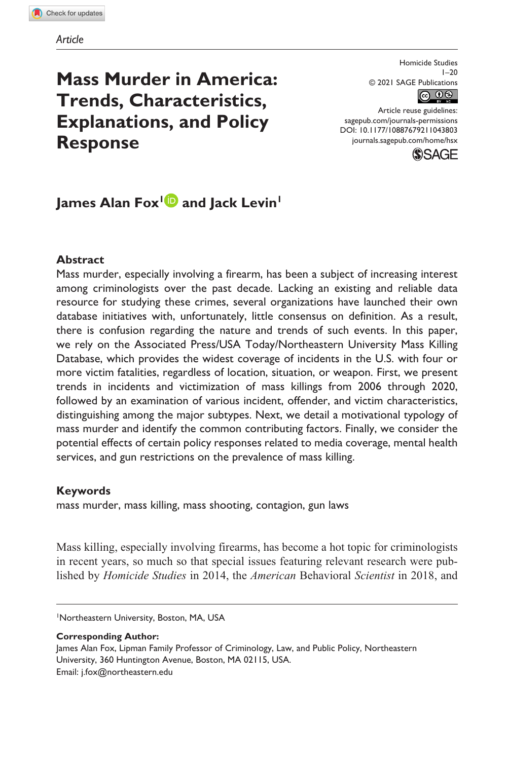# **Mass Murder in America: Trends, Characteristics, Explanations, and Policy Response**

Homicide Studies 1–20 © 2021 SAGE Publications



DOI: 10.1177/10887679211043803 Article reuse guidelines: [sagepub.com/journals-permissions](https://us.sagepub.com/en-us/journals-permissions) [journals.sagepub.com/home/hsx](https://journals.sagepub.com/home/hsx)



# James Alan Fox<sup>1</sup> and Jack Levin<sup>1</sup>

# **Abstract**

Mass murder, especially involving a firearm, has been a subject of increasing interest among criminologists over the past decade. Lacking an existing and reliable data resource for studying these crimes, several organizations have launched their own database initiatives with, unfortunately, little consensus on definition. As a result, there is confusion regarding the nature and trends of such events. In this paper, we rely on the Associated Press/USA Today/Northeastern University Mass Killing Database, which provides the widest coverage of incidents in the U.S. with four or more victim fatalities, regardless of location, situation, or weapon. First, we present trends in incidents and victimization of mass killings from 2006 through 2020, followed by an examination of various incident, offender, and victim characteristics, distinguishing among the major subtypes. Next, we detail a motivational typology of mass murder and identify the common contributing factors. Finally, we consider the potential effects of certain policy responses related to media coverage, mental health services, and gun restrictions on the prevalence of mass killing.

## **Keywords**

mass murder, mass killing, mass shooting, contagion, gun laws

Mass killing, especially involving firearms, has become a hot topic for criminologists in recent years, so much so that special issues featuring relevant research were published by *Homicide Studies* in 2014, the *American* Behavioral *Scientist* in 2018, and

1 Northeastern University, Boston, MA, USA

**Corresponding Author:**

James Alan Fox, Lipman Family Professor of Criminology, Law, and Public Policy, Northeastern University, 360 Huntington Avenue, Boston, MA 02115, USA. Email: [j.fox@northeastern.edu](mailto:j.fox@northeastern.edu)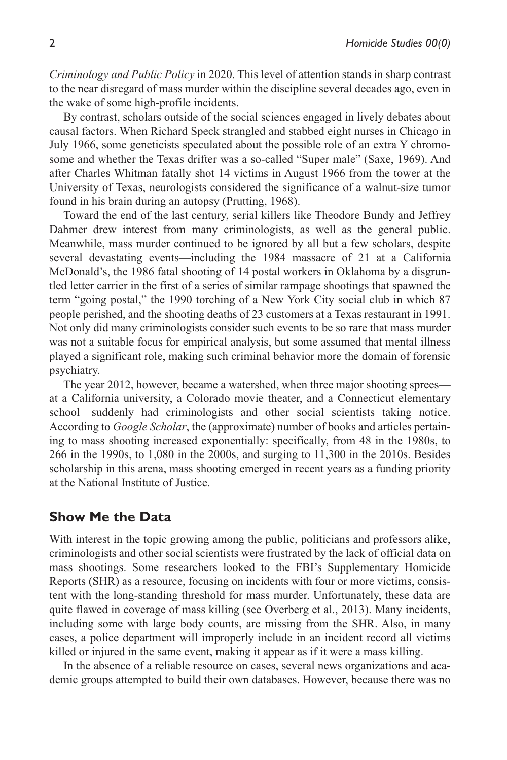*Criminology and Public Policy* in 2020. This level of attention stands in sharp contrast to the near disregard of mass murder within the discipline several decades ago, even in the wake of some high-profile incidents.

By contrast, scholars outside of the social sciences engaged in lively debates about causal factors. When Richard Speck strangled and stabbed eight nurses in Chicago in July 1966, some geneticists speculated about the possible role of an extra Y chromosome and whether the Texas drifter was a so-called "Super male" (Saxe, 1969). And after Charles Whitman fatally shot 14 victims in August 1966 from the tower at the University of Texas, neurologists considered the significance of a walnut-size tumor found in his brain during an autopsy (Prutting, 1968).

Toward the end of the last century, serial killers like Theodore Bundy and Jeffrey Dahmer drew interest from many criminologists, as well as the general public. Meanwhile, mass murder continued to be ignored by all but a few scholars, despite several devastating events—including the 1984 massacre of 21 at a California McDonald's, the 1986 fatal shooting of 14 postal workers in Oklahoma by a disgruntled letter carrier in the first of a series of similar rampage shootings that spawned the term "going postal," the 1990 torching of a New York City social club in which 87 people perished, and the shooting deaths of 23 customers at a Texas restaurant in 1991. Not only did many criminologists consider such events to be so rare that mass murder was not a suitable focus for empirical analysis, but some assumed that mental illness played a significant role, making such criminal behavior more the domain of forensic psychiatry.

The year 2012, however, became a watershed, when three major shooting sprees at a California university, a Colorado movie theater, and a Connecticut elementary school—suddenly had criminologists and other social scientists taking notice. According to *Google Scholar*, the (approximate) number of books and articles pertaining to mass shooting increased exponentially: specifically, from 48 in the 1980s, to 266 in the 1990s, to 1,080 in the 2000s, and surging to 11,300 in the 2010s. Besides scholarship in this arena, mass shooting emerged in recent years as a funding priority at the National Institute of Justice.

# **Show Me the Data**

With interest in the topic growing among the public, politicians and professors alike, criminologists and other social scientists were frustrated by the lack of official data on mass shootings. Some researchers looked to the FBI's Supplementary Homicide Reports (SHR) as a resource, focusing on incidents with four or more victims, consistent with the long-standing threshold for mass murder. Unfortunately, these data are quite flawed in coverage of mass killing (see Overberg et al., 2013). Many incidents, including some with large body counts, are missing from the SHR. Also, in many cases, a police department will improperly include in an incident record all victims killed or injured in the same event, making it appear as if it were a mass killing.

In the absence of a reliable resource on cases, several news organizations and academic groups attempted to build their own databases. However, because there was no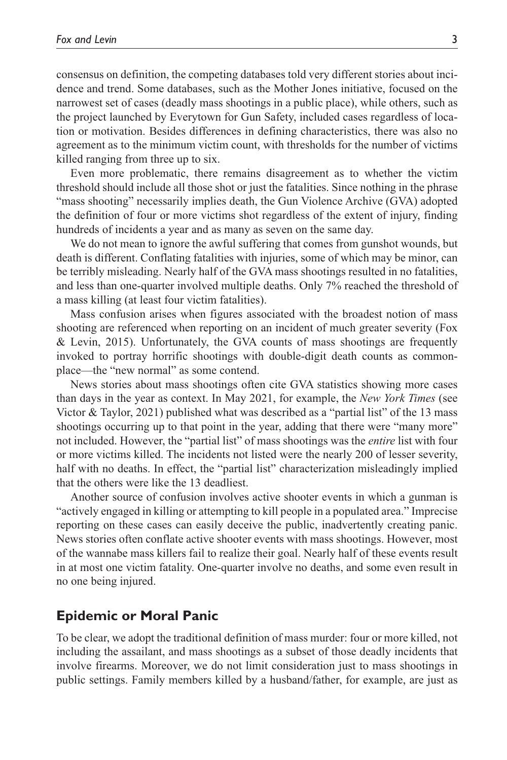consensus on definition, the competing databases told very different stories about incidence and trend. Some databases, such as the Mother Jones initiative, focused on the narrowest set of cases (deadly mass shootings in a public place), while others, such as the project launched by Everytown for Gun Safety, included cases regardless of location or motivation. Besides differences in defining characteristics, there was also no agreement as to the minimum victim count, with thresholds for the number of victims killed ranging from three up to six.

Even more problematic, there remains disagreement as to whether the victim threshold should include all those shot or just the fatalities. Since nothing in the phrase "mass shooting" necessarily implies death, the Gun Violence Archive (GVA) adopted the definition of four or more victims shot regardless of the extent of injury, finding hundreds of incidents a year and as many as seven on the same day.

We do not mean to ignore the awful suffering that comes from gunshot wounds, but death is different. Conflating fatalities with injuries, some of which may be minor, can be terribly misleading. Nearly half of the GVA mass shootings resulted in no fatalities, and less than one-quarter involved multiple deaths. Only 7% reached the threshold of a mass killing (at least four victim fatalities).

Mass confusion arises when figures associated with the broadest notion of mass shooting are referenced when reporting on an incident of much greater severity (Fox & Levin, 2015). Unfortunately, the GVA counts of mass shootings are frequently invoked to portray horrific shootings with double-digit death counts as commonplace—the "new normal" as some contend.

News stories about mass shootings often cite GVA statistics showing more cases than days in the year as context. In May 2021, for example, the *New York Times* (see Victor & Taylor, 2021) published what was described as a "partial list" of the 13 mass shootings occurring up to that point in the year, adding that there were "many more" not included. However, the "partial list" of mass shootings was the *entire* list with four or more victims killed. The incidents not listed were the nearly 200 of lesser severity, half with no deaths. In effect, the "partial list" characterization misleadingly implied that the others were like the 13 deadliest.

Another source of confusion involves active shooter events in which a gunman is "actively engaged in killing or attempting to kill people in a populated area." Imprecise reporting on these cases can easily deceive the public, inadvertently creating panic. News stories often conflate active shooter events with mass shootings. However, most of the wannabe mass killers fail to realize their goal. Nearly half of these events result in at most one victim fatality. One-quarter involve no deaths, and some even result in no one being injured.

## **Epidemic or Moral Panic**

To be clear, we adopt the traditional definition of mass murder: four or more killed, not including the assailant, and mass shootings as a subset of those deadly incidents that involve firearms. Moreover, we do not limit consideration just to mass shootings in public settings. Family members killed by a husband/father, for example, are just as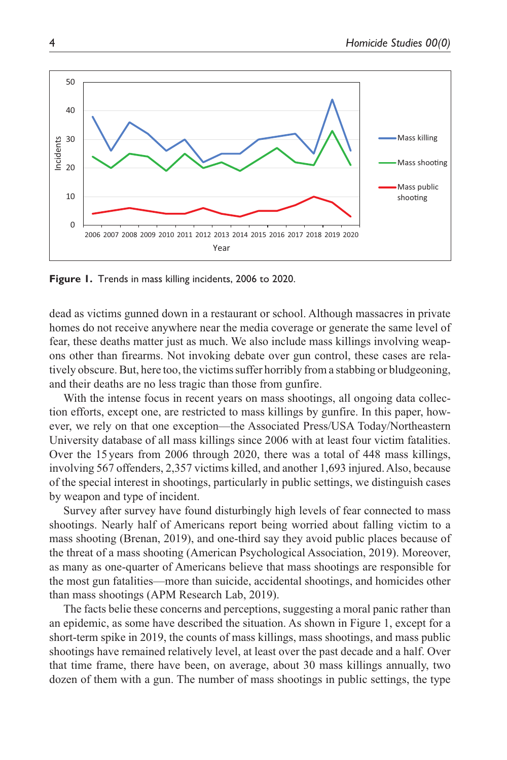

**Figure 1.** Trends in mass killing incidents, 2006 to 2020.

dead as victims gunned down in a restaurant or school. Although massacres in private homes do not receive anywhere near the media coverage or generate the same level of fear, these deaths matter just as much. We also include mass killings involving weapons other than firearms. Not invoking debate over gun control, these cases are relatively obscure. But, here too, the victims suffer horribly from a stabbing or bludgeoning, and their deaths are no less tragic than those from gunfire.

With the intense focus in recent years on mass shootings, all ongoing data collection efforts, except one, are restricted to mass killings by gunfire. In this paper, however, we rely on that one exception—the Associated Press/USA Today/Northeastern University database of all mass killings since 2006 with at least four victim fatalities. Over the 15 years from 2006 through 2020, there was a total of 448 mass killings, involving 567 offenders, 2,357 victims killed, and another 1,693 injured. Also, because of the special interest in shootings, particularly in public settings, we distinguish cases by weapon and type of incident.

Survey after survey have found disturbingly high levels of fear connected to mass shootings. Nearly half of Americans report being worried about falling victim to a mass shooting (Brenan, 2019), and one-third say they avoid public places because of the threat of a mass shooting (American Psychological Association, 2019). Moreover, as many as one-quarter of Americans believe that mass shootings are responsible for the most gun fatalities—more than suicide, accidental shootings, and homicides other than mass shootings (APM Research Lab, 2019).

The facts belie these concerns and perceptions, suggesting a moral panic rather than an epidemic, as some have described the situation. As shown in Figure 1, except for a short-term spike in 2019, the counts of mass killings, mass shootings, and mass public shootings have remained relatively level, at least over the past decade and a half. Over that time frame, there have been, on average, about 30 mass killings annually, two dozen of them with a gun. The number of mass shootings in public settings, the type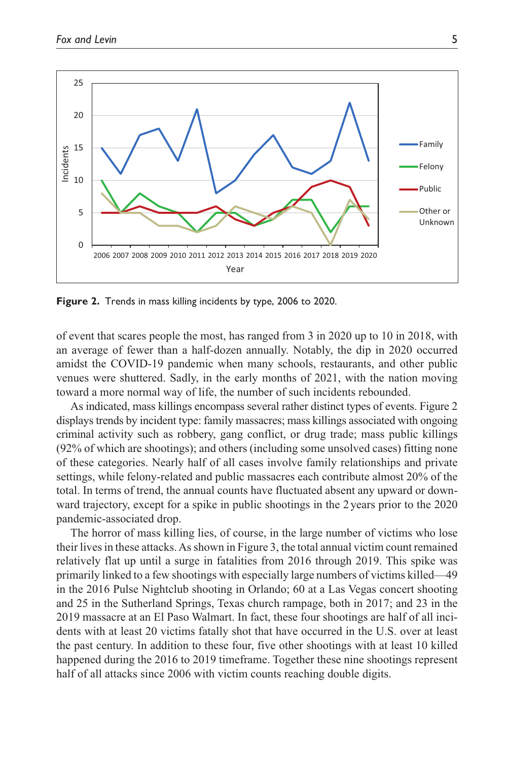

**Figure 2.** Trends in mass killing incidents by type, 2006 to 2020.

of event that scares people the most, has ranged from 3 in 2020 up to 10 in 2018, with an average of fewer than a half-dozen annually. Notably, the dip in 2020 occurred amidst the COVID-19 pandemic when many schools, restaurants, and other public venues were shuttered. Sadly, in the early months of 2021, with the nation moving toward a more normal way of life, the number of such incidents rebounded.

As indicated, mass killings encompass several rather distinct types of events. Figure 2 displays trends by incident type: family massacres; mass killings associated with ongoing criminal activity such as robbery, gang conflict, or drug trade; mass public killings (92% of which are shootings); and others (including some unsolved cases) fitting none of these categories. Nearly half of all cases involve family relationships and private settings, while felony-related and public massacres each contribute almost 20% of the total. In terms of trend, the annual counts have fluctuated absent any upward or downward trajectory, except for a spike in public shootings in the 2years prior to the 2020 pandemic-associated drop.

The horror of mass killing lies, of course, in the large number of victims who lose their lives in these attacks. As shown in Figure 3, the total annual victim count remained relatively flat up until a surge in fatalities from 2016 through 2019. This spike was primarily linked to a few shootings with especially large numbers of victims killed—49 in the 2016 Pulse Nightclub shooting in Orlando; 60 at a Las Vegas concert shooting and 25 in the Sutherland Springs, Texas church rampage, both in 2017; and 23 in the 2019 massacre at an El Paso Walmart. In fact, these four shootings are half of all incidents with at least 20 victims fatally shot that have occurred in the U.S. over at least the past century. In addition to these four, five other shootings with at least 10 killed happened during the 2016 to 2019 timeframe. Together these nine shootings represent half of all attacks since 2006 with victim counts reaching double digits.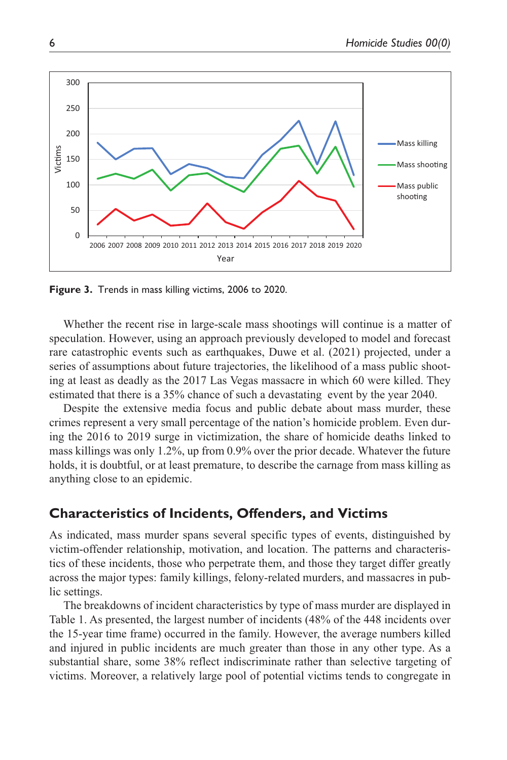

**Figure 3.** Trends in mass killing victims, 2006 to 2020.

Whether the recent rise in large-scale mass shootings will continue is a matter of speculation. However, using an approach previously developed to model and forecast rare catastrophic events such as earthquakes, Duwe et al. (2021) projected, under a series of assumptions about future trajectories, the likelihood of a mass public shooting at least as deadly as the 2017 Las Vegas massacre in which 60 were killed. They estimated that there is a 35% chance of such a devastating event by the year 2040.

Despite the extensive media focus and public debate about mass murder, these crimes represent a very small percentage of the nation's homicide problem. Even during the 2016 to 2019 surge in victimization, the share of homicide deaths linked to mass killings was only 1.2%, up from 0.9% over the prior decade. Whatever the future holds, it is doubtful, or at least premature, to describe the carnage from mass killing as anything close to an epidemic.

# **Characteristics of Incidents, Offenders, and Victims**

As indicated, mass murder spans several specific types of events, distinguished by victim-offender relationship, motivation, and location. The patterns and characteristics of these incidents, those who perpetrate them, and those they target differ greatly across the major types: family killings, felony-related murders, and massacres in public settings.

The breakdowns of incident characteristics by type of mass murder are displayed in Table 1. As presented, the largest number of incidents (48% of the 448 incidents over the 15-year time frame) occurred in the family. However, the average numbers killed and injured in public incidents are much greater than those in any other type. As a substantial share, some 38% reflect indiscriminate rather than selective targeting of victims. Moreover, a relatively large pool of potential victims tends to congregate in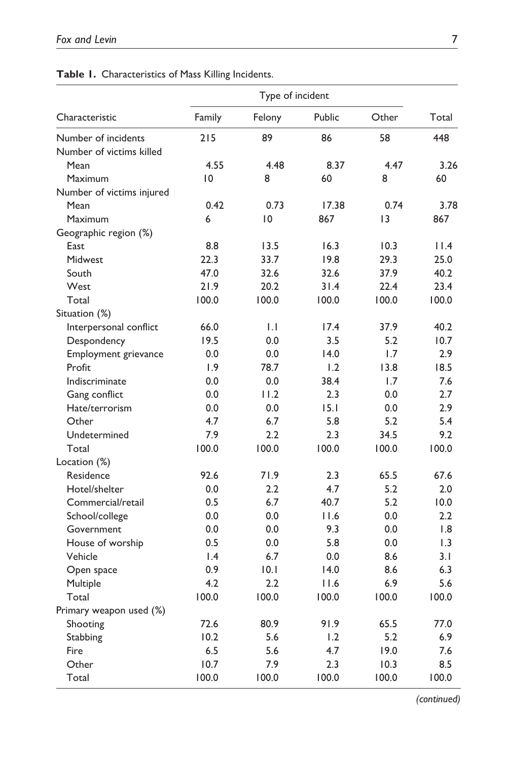| Characteristic            | Type of incident |              |        |       |       |
|---------------------------|------------------|--------------|--------|-------|-------|
|                           | Family           | Felony       | Public | Other | Total |
| Number of incidents       | 215              | 89           | 86     | 58    | 448   |
| Number of victims killed  |                  |              |        |       |       |
| Mean                      | 4.55             | 4.48         | 8.37   | 4.47  | 3.26  |
| Maximum                   | 10               | 8            | 60     | 8     | 60    |
| Number of victims injured |                  |              |        |       |       |
| Mean                      | 0.42             | 0.73         | 17.38  | 0.74  | 3.78  |
| Maximum                   | 6                | 10           | 867    | 3     | 867   |
| Geographic region (%)     |                  |              |        |       |       |
| East                      | 8.8              | 13.5         | 16.3   | 10.3  | 11.4  |
| Midwest                   | 22.3             | 33.7         | 19.8   | 29.3  | 25.0  |
| South                     | 47.0             | 32.6         | 32.6   | 37.9  | 40.2  |
| West                      | 21.9             | 20.2         | 31.4   | 22.4  | 23.4  |
| Total                     | 100.0            | 100.0        | 100.0  | 100.0 | 100.0 |
| Situation (%)             |                  |              |        |       |       |
| Interpersonal conflict    | 66.0             | $\mathsf{L}$ | 17.4   | 37.9  | 40.2  |
| Despondency               | 19.5             | 0.0          | 3.5    | 5.2   | 10.7  |
| Employment grievance      | 0.0              | 0.0          | 14.0   | 1.7   | 2.9   |
| Profit                    | 1.9              | 78.7         | 1.2    | 13.8  | 18.5  |
| Indiscriminate            | 0.0              | 0.0          | 38.4   | 1.7   | 7.6   |
| Gang conflict             | 0.0              | 11.2         | 2.3    | 0.0   | 2.7   |
| Hate/terrorism            | 0.0              | 0.0          | 15.1   | 0.0   | 2.9   |
| Other                     | 4.7              | 6.7          | 5.8    | 5.2   | 5.4   |
| Undetermined              | 7.9              | 2.2          | 2.3    | 34.5  | 9.2   |
| Total                     | 100.0            | 100.0        | 100.0  | 100.0 | 100.0 |
| Location (%)              |                  |              |        |       |       |
| Residence                 | 92.6             | 71.9         | 2.3    | 65.5  | 67.6  |
| Hotel/shelter             | 0.0              | 2.2          | 4.7    | 5.2   | 2.0   |
| Commercial/retail         | 0.5              | 6.7          | 40.7   | 5.2   | 10.0  |
| School/college            | 0.0              | 0.0          | 11.6   | 0.0   | 2.2   |
| Government                | 0.0              | 0.0          | 9.3    | 0.0   | 1.8   |
| House of worship          | 0.5              | 0.0          | 5.8    | 0.0   | 1.3   |
| Vehicle                   | $\mathsf{I}$ .4  | 6.7          | 0.0    | 8.6   | 3.1   |
| Open space                | 0.9              | 0.1          | 14.0   | 8.6   | 6.3   |
| Multiple                  | 4.2              | 2.2          | 11.6   | 6.9   | 5.6   |
| Total                     | 100.0            | 100.0        | 100.0  | 100.0 | 100.0 |
| Primary weapon used (%)   |                  |              |        |       |       |
| Shooting                  | 72.6             | 80.9         | 91.9   | 65.5  | 77.0  |
| Stabbing                  | 10.2             | 5.6          | 1.2    | 5.2   | 6.9   |
| Fire                      | 6.5              | 5.6          | 4.7    | 19.0  | 7.6   |
| Other                     | 10.7             | 7.9          | 2.3    | 10.3  | 8.5   |
| Total                     | 100.0            | 100.0        | 100.0  | 100.0 | 100.0 |

# **Table 1.** Characteristics of Mass Killing Incidents.

 *(continued)*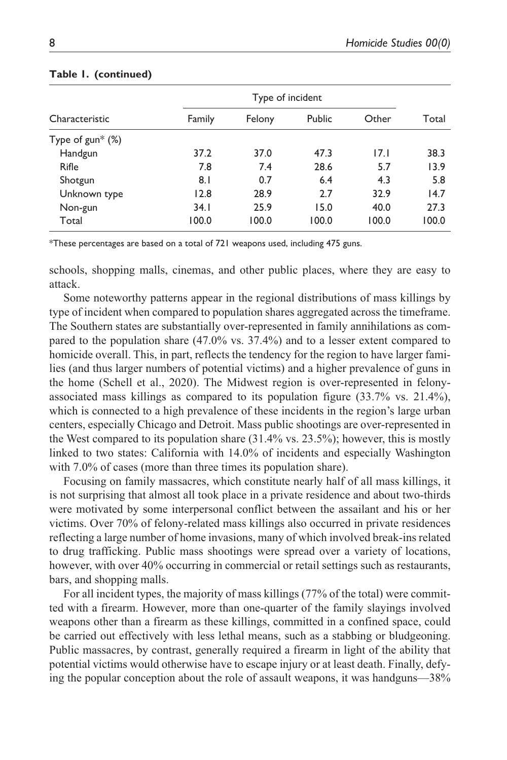| Characteristic      | Type of incident |        |        |       |       |
|---------------------|------------------|--------|--------|-------|-------|
|                     | Family           | Felony | Public | Other | Total |
| Type of $gun^*(% )$ |                  |        |        |       |       |
| Handgun             | 37.2             | 37.0   | 47.3   | 17.1  | 38.3  |
| Rifle               | 7.8              | 7.4    | 28.6   | 5.7   | 13.9  |
| Shotgun             | 8.1              | 0.7    | 6.4    | 4.3   | 5.8   |
| Unknown type        | 12.8             | 28.9   | 2.7    | 32.9  | 14.7  |
| Non-gun             | 34.1             | 25.9   | 15.0   | 40.0  | 27.3  |
| Total               | 100.0            | 100.0  | 100.0  | 100.0 | 100.0 |

#### **Table 1. (continued)**

\*These percentages are based on a total of 721 weapons used, including 475 guns.

schools, shopping malls, cinemas, and other public places, where they are easy to attack.

Some noteworthy patterns appear in the regional distributions of mass killings by type of incident when compared to population shares aggregated across the timeframe. The Southern states are substantially over-represented in family annihilations as compared to the population share (47.0% vs. 37.4%) and to a lesser extent compared to homicide overall. This, in part, reflects the tendency for the region to have larger families (and thus larger numbers of potential victims) and a higher prevalence of guns in the home (Schell et al., 2020). The Midwest region is over-represented in felonyassociated mass killings as compared to its population figure (33.7% vs. 21.4%), which is connected to a high prevalence of these incidents in the region's large urban centers, especially Chicago and Detroit. Mass public shootings are over-represented in the West compared to its population share (31.4% vs. 23.5%); however, this is mostly linked to two states: California with 14.0% of incidents and especially Washington with 7.0% of cases (more than three times its population share).

Focusing on family massacres, which constitute nearly half of all mass killings, it is not surprising that almost all took place in a private residence and about two-thirds were motivated by some interpersonal conflict between the assailant and his or her victims. Over 70% of felony-related mass killings also occurred in private residences reflecting a large number of home invasions, many of which involved break-ins related to drug trafficking. Public mass shootings were spread over a variety of locations, however, with over 40% occurring in commercial or retail settings such as restaurants, bars, and shopping malls.

For all incident types, the majority of mass killings (77% of the total) were committed with a firearm. However, more than one-quarter of the family slayings involved weapons other than a firearm as these killings, committed in a confined space, could be carried out effectively with less lethal means, such as a stabbing or bludgeoning. Public massacres, by contrast, generally required a firearm in light of the ability that potential victims would otherwise have to escape injury or at least death. Finally, defying the popular conception about the role of assault weapons, it was handguns—38%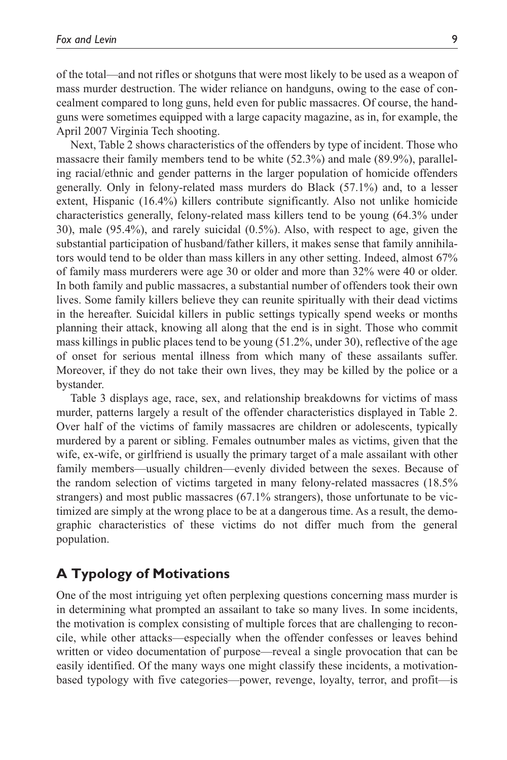of the total—and not rifles or shotguns that were most likely to be used as a weapon of mass murder destruction. The wider reliance on handguns, owing to the ease of concealment compared to long guns, held even for public massacres. Of course, the handguns were sometimes equipped with a large capacity magazine, as in, for example, the April 2007 Virginia Tech shooting.

Next, Table 2 shows characteristics of the offenders by type of incident. Those who massacre their family members tend to be white (52.3%) and male (89.9%), paralleling racial/ethnic and gender patterns in the larger population of homicide offenders generally. Only in felony-related mass murders do Black (57.1%) and, to a lesser extent, Hispanic (16.4%) killers contribute significantly. Also not unlike homicide characteristics generally, felony-related mass killers tend to be young (64.3% under 30), male (95.4%), and rarely suicidal (0.5%). Also, with respect to age, given the substantial participation of husband/father killers, it makes sense that family annihilators would tend to be older than mass killers in any other setting. Indeed, almost 67% of family mass murderers were age 30 or older and more than 32% were 40 or older. In both family and public massacres, a substantial number of offenders took their own lives. Some family killers believe they can reunite spiritually with their dead victims in the hereafter. Suicidal killers in public settings typically spend weeks or months planning their attack, knowing all along that the end is in sight. Those who commit mass killings in public places tend to be young (51.2%, under 30), reflective of the age of onset for serious mental illness from which many of these assailants suffer. Moreover, if they do not take their own lives, they may be killed by the police or a bystander.

Table 3 displays age, race, sex, and relationship breakdowns for victims of mass murder, patterns largely a result of the offender characteristics displayed in Table 2. Over half of the victims of family massacres are children or adolescents, typically murdered by a parent or sibling. Females outnumber males as victims, given that the wife, ex-wife, or girlfriend is usually the primary target of a male assailant with other family members—usually children—evenly divided between the sexes. Because of the random selection of victims targeted in many felony-related massacres (18.5% strangers) and most public massacres (67.1% strangers), those unfortunate to be victimized are simply at the wrong place to be at a dangerous time. As a result, the demographic characteristics of these victims do not differ much from the general population.

# **A Typology of Motivations**

One of the most intriguing yet often perplexing questions concerning mass murder is in determining what prompted an assailant to take so many lives. In some incidents, the motivation is complex consisting of multiple forces that are challenging to reconcile, while other attacks—especially when the offender confesses or leaves behind written or video documentation of purpose—reveal a single provocation that can be easily identified. Of the many ways one might classify these incidents, a motivationbased typology with five categories—power, revenge, loyalty, terror, and profit—is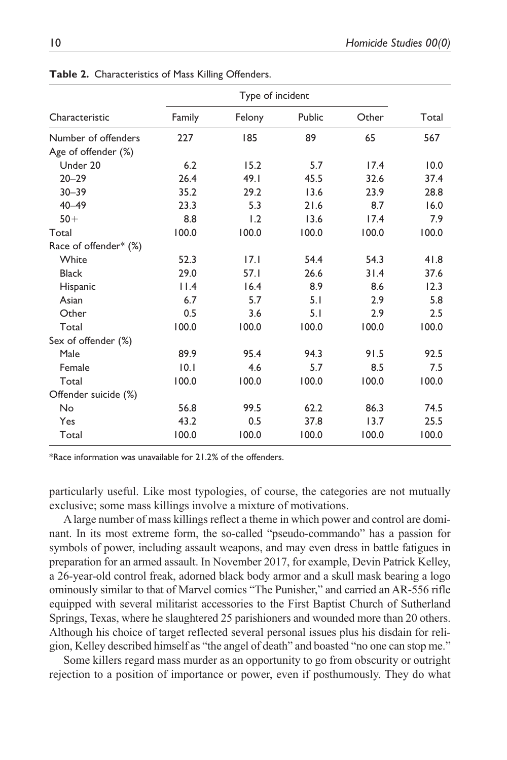|                       | Type of incident |        |        |       |       |
|-----------------------|------------------|--------|--------|-------|-------|
| Characteristic        | Family           | Felony | Public | Other | Total |
| Number of offenders   | 227              | 185    | 89     | 65    | 567   |
| Age of offender (%)   |                  |        |        |       |       |
| Under 20              | 6.2              | 15.2   | 5.7    | 17.4  | 10.0  |
| $20 - 29$             | 26.4             | 49.1   | 45.5   | 32.6  | 37.4  |
| $30 - 39$             | 35.2             | 29.2   | 13.6   | 23.9  | 28.8  |
| $40 - 49$             | 23.3             | 5.3    | 21.6   | 8.7   | 16.0  |
| $50+$                 | 8.8              | 1.2    | 13.6   | 17.4  | 7.9   |
| Total                 | 100.0            | 100.0  | 100.0  | 100.0 | 100.0 |
| Race of offender* (%) |                  |        |        |       |       |
| White                 | 52.3             | 17.1   | 54.4   | 54.3  | 41.8  |
| <b>Black</b>          | 29.0             | 57.1   | 26.6   | 31.4  | 37.6  |
| Hispanic              | 11.4             | 16.4   | 8.9    | 8.6   | 12.3  |
| Asian                 | 6.7              | 5.7    | 5.1    | 2.9   | 5.8   |
| Other                 | 0.5              | 3.6    | 5.1    | 2.9   | 2.5   |
| Total                 | 100.0            | 100.0  | 100.0  | 100.0 | 100.0 |
| Sex of offender (%)   |                  |        |        |       |       |
| Male                  | 89.9             | 95.4   | 94.3   | 91.5  | 92.5  |
| Female                | 10.1             | 4.6    | 5.7    | 8.5   | 7.5   |
| Total                 | 100.0            | 100.0  | 100.0  | 100.0 | 100.0 |
| Offender suicide (%)  |                  |        |        |       |       |
| No                    | 56.8             | 99.5   | 62.2   | 86.3  | 74.5  |
| Yes                   | 43.2             | 0.5    | 37.8   | 13.7  | 25.5  |
| Total                 | 100.0            | 100.0  | 100.0  | 100.0 | 100.0 |

**Table 2.** Characteristics of Mass Killing Offenders.

\*Race information was unavailable for 21.2% of the offenders.

particularly useful. Like most typologies, of course, the categories are not mutually exclusive; some mass killings involve a mixture of motivations.

A large number of mass killings reflect a theme in which power and control are dominant. In its most extreme form, the so-called "pseudo-commando" has a passion for symbols of power, including assault weapons, and may even dress in battle fatigues in preparation for an armed assault. In November 2017, for example, Devin Patrick Kelley, a 26-year-old control freak, adorned black body armor and a skull mask bearing a logo ominously similar to that of Marvel comics "The Punisher," and carried an AR-556 rifle equipped with several militarist accessories to the First Baptist Church of Sutherland Springs, Texas, where he slaughtered 25 parishioners and wounded more than 20 others. Although his choice of target reflected several personal issues plus his disdain for religion, Kelley described himself as "the angel of death" and boasted "no one can stop me."

Some killers regard mass murder as an opportunity to go from obscurity or outright rejection to a position of importance or power, even if posthumously. They do what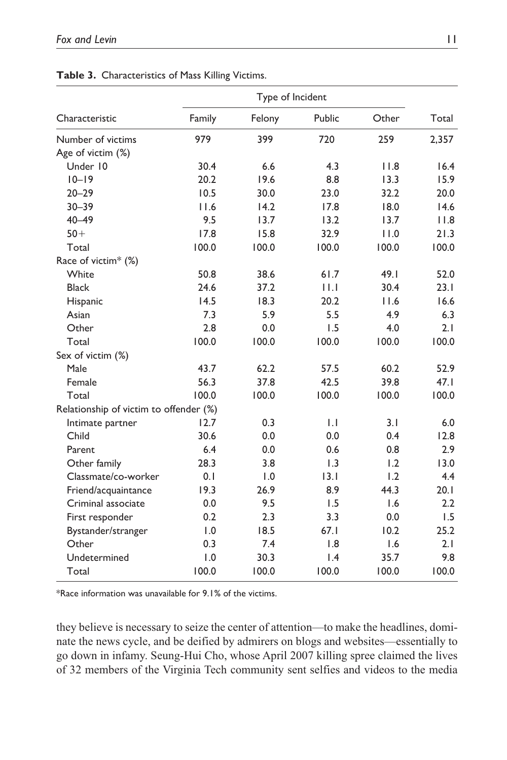| Characteristic                         | Type of Incident |        |        |       |       |
|----------------------------------------|------------------|--------|--------|-------|-------|
|                                        | Family           | Felony | Public | Other | Total |
| Number of victims                      | 979              | 399    | 720    | 259   | 2,357 |
| Age of victim (%)                      |                  |        |        |       |       |
| Under 10                               | 30.4             | 6.6    | 4.3    | 11.8  | 16.4  |
| $10 - 19$                              | 20.2             | 19.6   | 8.8    | 13.3  | 15.9  |
| $20 - 29$                              | 10.5             | 30.0   | 23.0   | 32.2  | 20.0  |
| $30 - 39$                              | 11.6             | 14.2   | 17.8   | 18.0  | 14.6  |
| $40 - 49$                              | 9.5              | 13.7   | 13.2   | 13.7  | 11.8  |
| $50+$                                  | 17.8             | 15.8   | 32.9   | 11.0  | 21.3  |
| Total                                  | 100.0            | 100.0  | 100.0  | 100.0 | 100.0 |
| Race of victim <sup>*</sup> (%)        |                  |        |        |       |       |
| White                                  | 50.8             | 38.6   | 61.7   | 49.1  | 52.0  |
| <b>Black</b>                           | 24.6             | 37.2   | 11.1   | 30.4  | 23.1  |
| Hispanic                               | 14.5             | 18.3   | 20.2   | 11.6  | 16.6  |
| Asian                                  | 7.3              | 5.9    | 5.5    | 4.9   | 6.3   |
| Other                                  | 2.8              | 0.0    | 1.5    | 4.0   | 2.1   |
| Total                                  | 100.0            | 100.0  | 100.0  | 100.0 | 100.0 |
| Sex of victim (%)                      |                  |        |        |       |       |
| Male                                   | 43.7             | 62.2   | 57.5   | 60.2  | 52.9  |
| Female                                 | 56.3             | 37.8   | 42.5   | 39.8  | 47.1  |
| Total                                  | 100.0            | 100.0  | 100.0  | 100.0 | 100.0 |
| Relationship of victim to offender (%) |                  |        |        |       |       |
| Intimate partner                       | 12.7             | 0.3    | 1.1    | 3.1   | 6.0   |
| Child                                  | 30.6             | 0.0    | 0.0    | 0.4   | 12.8  |
| Parent                                 | 6.4              | 0.0    | 0.6    | 0.8   | 2.9   |
| Other family                           | 28.3             | 3.8    | 1.3    | 1.2   | 13.0  |
| Classmate/co-worker                    | 0.1              | 1.0    | 3.1    | 1.2   | 4.4   |
| Friend/acquaintance                    | 19.3             | 26.9   | 8.9    | 44.3  | 20.1  |
| Criminal associate                     | 0.0              | 9.5    | 1.5    | 1.6   | 2.2   |
| First responder                        | 0.2              | 2.3    | 3.3    | 0.0   | 1.5   |
| Bystander/stranger                     | 1.0              | 18.5   | 67.1   | 10.2  | 25.2  |
| Other                                  | 0.3              | 7.4    | 1.8    | 1.6   | 2.1   |
| Undetermined                           | 1.0              | 30.3   | 1.4    | 35.7  | 9.8   |
| Total                                  | 100.0            | 100.0  | 100.0  | 100.0 | 100.0 |

#### **Table 3.** Characteristics of Mass Killing Victims.

\*Race information was unavailable for 9.1% of the victims.

they believe is necessary to seize the center of attention—to make the headlines, dominate the news cycle, and be deified by admirers on blogs and websites—essentially to go down in infamy. Seung-Hui Cho, whose April 2007 killing spree claimed the lives of 32 members of the Virginia Tech community sent selfies and videos to the media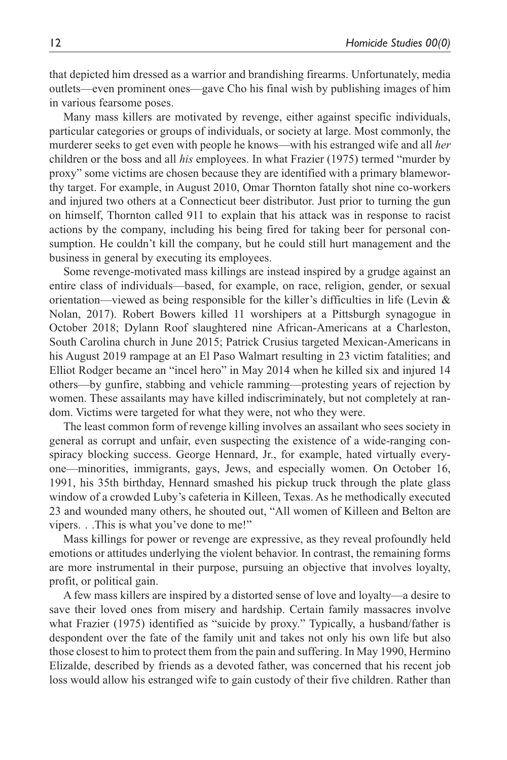that depicted him dressed as a warrior and brandishing firearms. Unfortunately, media outlets—even prominent ones—gave Cho his final wish by publishing images of him in various fearsome poses.

Many mass killers are motivated by revenge, either against specific individuals, particular categories or groups of individuals, or society at large. Most commonly, the murderer seeks to get even with people he knows—with his estranged wife and all *her* children or the boss and all *his* employees. In what Frazier (1975) termed "murder by proxy" some victims are chosen because they are identified with a primary blameworthy target. For example, in August 2010, Omar Thornton fatally shot nine co-workers and injured two others at a Connecticut beer distributor. Just prior to turning the gun on himself, Thornton called 911 to explain that his attack was in response to racist actions by the company, including his being fired for taking beer for personal consumption. He couldn't kill the company, but he could still hurt management and the business in general by executing its employees.

Some revenge-motivated mass killings are instead inspired by a grudge against an entire class of individuals—based, for example, on race, religion, gender, or sexual orientation—viewed as being responsible for the killer's difficulties in life (Levin & Nolan, 2017). Robert Bowers killed 11 worshipers at a Pittsburgh synagogue in October 2018; Dylann Roof slaughtered nine African-Americans at a Charleston, South Carolina church in June 2015; Patrick Crusius targeted Mexican-Americans in his August 2019 rampage at an El Paso Walmart resulting in 23 victim fatalities; and Elliot Rodger became an "incel hero" in May 2014 when he killed six and injured 14 others—by gunfire, stabbing and vehicle ramming—protesting years of rejection by women. These assailants may have killed indiscriminately, but not completely at random. Victims were targeted for what they were, not who they were.

The least common form of revenge killing involves an assailant who sees society in general as corrupt and unfair, even suspecting the existence of a wide-ranging conspiracy blocking success. George Hennard, Jr., for example, hated virtually everyone—minorities, immigrants, gays, Jews, and especially women. On October 16, 1991, his 35th birthday, Hennard smashed his pickup truck through the plate glass window of a crowded Luby's cafeteria in Killeen, Texas. As he methodically executed 23 and wounded many others, he shouted out, "All women of Killeen and Belton are vipers. . .This is what you've done to me!"

Mass killings for power or revenge are expressive, as they reveal profoundly held emotions or attitudes underlying the violent behavior. In contrast, the remaining forms are more instrumental in their purpose, pursuing an objective that involves loyalty, profit, or political gain.

A few mass killers are inspired by a distorted sense of love and loyalty—a desire to save their loved ones from misery and hardship. Certain family massacres involve what Frazier (1975) identified as "suicide by proxy." Typically, a husband/father is despondent over the fate of the family unit and takes not only his own life but also those closest to him to protect them from the pain and suffering. In May 1990, Hermino Elizalde, described by friends as a devoted father, was concerned that his recent job loss would allow his estranged wife to gain custody of their five children. Rather than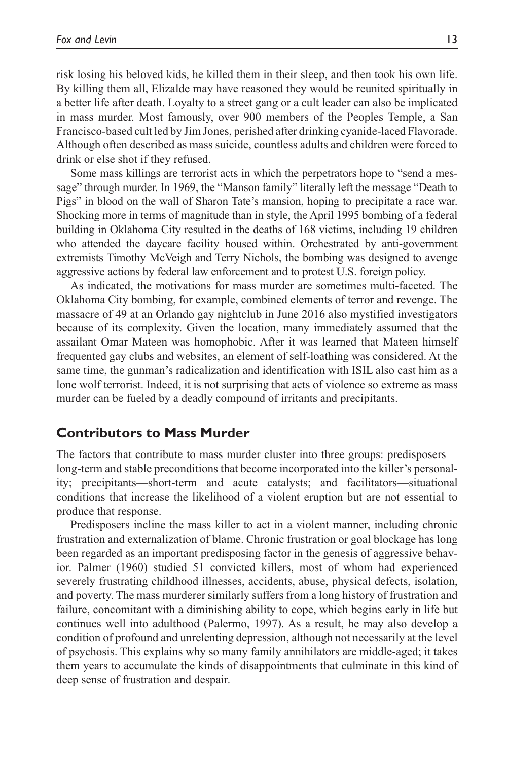risk losing his beloved kids, he killed them in their sleep, and then took his own life. By killing them all, Elizalde may have reasoned they would be reunited spiritually in a better life after death. Loyalty to a street gang or a cult leader can also be implicated in mass murder. Most famously, over 900 members of the Peoples Temple, a San Francisco-based cult led by Jim Jones, perished after drinking cyanide-laced Flavorade. Although often described as mass suicide, countless adults and children were forced to drink or else shot if they refused.

Some mass killings are terrorist acts in which the perpetrators hope to "send a message" through murder. In 1969, the "Manson family" literally left the message "Death to Pigs" in blood on the wall of Sharon Tate's mansion, hoping to precipitate a race war. Shocking more in terms of magnitude than in style, the April 1995 bombing of a federal building in Oklahoma City resulted in the deaths of 168 victims, including 19 children who attended the daycare facility housed within. Orchestrated by anti-government extremists Timothy McVeigh and Terry Nichols, the bombing was designed to avenge aggressive actions by federal law enforcement and to protest U.S. foreign policy.

As indicated, the motivations for mass murder are sometimes multi-faceted. The Oklahoma City bombing, for example, combined elements of terror and revenge. The massacre of 49 at an Orlando gay nightclub in June 2016 also mystified investigators because of its complexity. Given the location, many immediately assumed that the assailant Omar Mateen was homophobic. After it was learned that Mateen himself frequented gay clubs and websites, an element of self-loathing was considered. At the same time, the gunman's radicalization and identification with ISIL also cast him as a lone wolf terrorist. Indeed, it is not surprising that acts of violence so extreme as mass murder can be fueled by a deadly compound of irritants and precipitants.

# **Contributors to Mass Murder**

The factors that contribute to mass murder cluster into three groups: predisposers long-term and stable preconditions that become incorporated into the killer's personality; precipitants—short-term and acute catalysts; and facilitators—situational conditions that increase the likelihood of a violent eruption but are not essential to produce that response.

Predisposers incline the mass killer to act in a violent manner, including chronic frustration and externalization of blame. Chronic frustration or goal blockage has long been regarded as an important predisposing factor in the genesis of aggressive behavior. Palmer (1960) studied 51 convicted killers, most of whom had experienced severely frustrating childhood illnesses, accidents, abuse, physical defects, isolation, and poverty. The mass murderer similarly suffers from a long history of frustration and failure, concomitant with a diminishing ability to cope, which begins early in life but continues well into adulthood (Palermo, 1997). As a result, he may also develop a condition of profound and unrelenting depression, although not necessarily at the level of psychosis. This explains why so many family annihilators are middle-aged; it takes them years to accumulate the kinds of disappointments that culminate in this kind of deep sense of frustration and despair.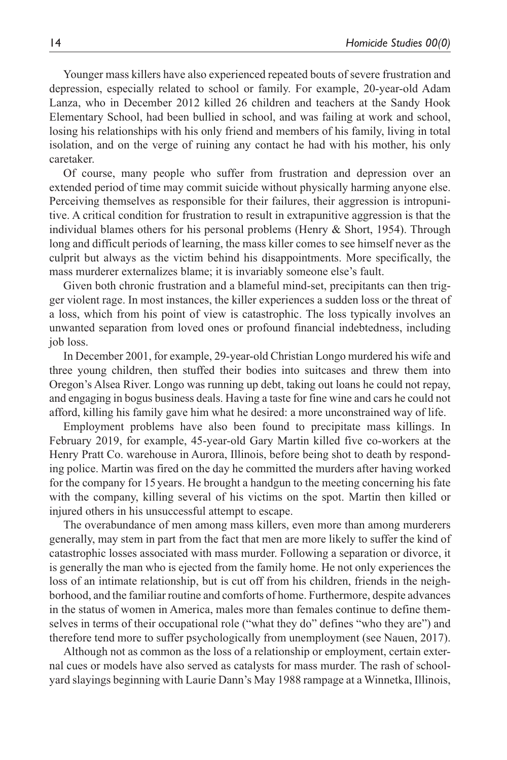Younger mass killers have also experienced repeated bouts of severe frustration and depression, especially related to school or family. For example, 20-year-old Adam Lanza, who in December 2012 killed 26 children and teachers at the Sandy Hook Elementary School, had been bullied in school, and was failing at work and school, losing his relationships with his only friend and members of his family, living in total isolation, and on the verge of ruining any contact he had with his mother, his only caretaker.

Of course, many people who suffer from frustration and depression over an extended period of time may commit suicide without physically harming anyone else. Perceiving themselves as responsible for their failures, their aggression is intropunitive. A critical condition for frustration to result in extrapunitive aggression is that the individual blames others for his personal problems (Henry & Short, 1954). Through long and difficult periods of learning, the mass killer comes to see himself never as the culprit but always as the victim behind his disappointments. More specifically, the mass murderer externalizes blame; it is invariably someone else's fault.

Given both chronic frustration and a blameful mind-set, precipitants can then trigger violent rage. In most instances, the killer experiences a sudden loss or the threat of a loss, which from his point of view is catastrophic. The loss typically involves an unwanted separation from loved ones or profound financial indebtedness, including job loss.

In December 2001, for example, 29-year-old Christian Longo murdered his wife and three young children, then stuffed their bodies into suitcases and threw them into Oregon's Alsea River. Longo was running up debt, taking out loans he could not repay, and engaging in bogus business deals. Having a taste for fine wine and cars he could not afford, killing his family gave him what he desired: a more unconstrained way of life.

Employment problems have also been found to precipitate mass killings. In February 2019, for example, 45-year-old Gary Martin killed five co-workers at the Henry Pratt Co. warehouse in Aurora, Illinois, before being shot to death by responding police. Martin was fired on the day he committed the murders after having worked for the company for 15 years. He brought a handgun to the meeting concerning his fate with the company, killing several of his victims on the spot. Martin then killed or injured others in his unsuccessful attempt to escape.

The overabundance of men among mass killers, even more than among murderers generally, may stem in part from the fact that men are more likely to suffer the kind of catastrophic losses associated with mass murder. Following a separation or divorce, it is generally the man who is ejected from the family home. He not only experiences the loss of an intimate relationship, but is cut off from his children, friends in the neighborhood, and the familiar routine and comforts of home. Furthermore, despite advances in the status of women in America, males more than females continue to define themselves in terms of their occupational role ("what they do" defines "who they are") and therefore tend more to suffer psychologically from unemployment (see Nauen, 2017).

Although not as common as the loss of a relationship or employment, certain external cues or models have also served as catalysts for mass murder. The rash of schoolyard slayings beginning with Laurie Dann's May 1988 rampage at a Winnetka, Illinois,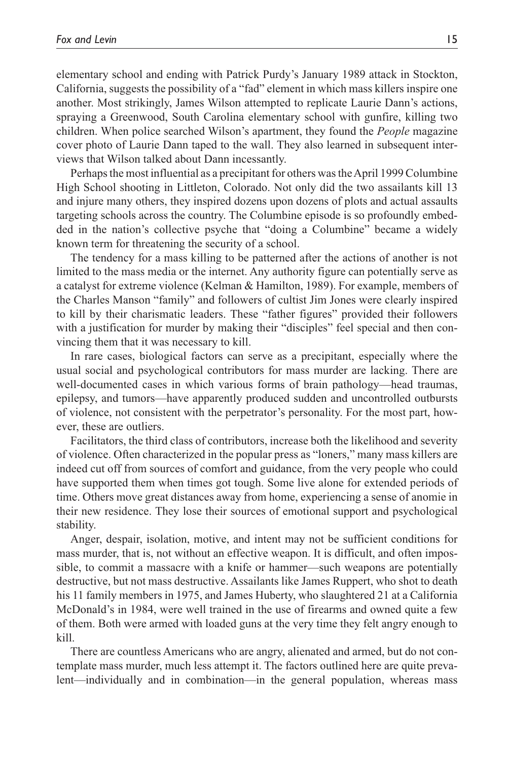elementary school and ending with Patrick Purdy's January 1989 attack in Stockton, California, suggests the possibility of a "fad" element in which mass killers inspire one another. Most strikingly, James Wilson attempted to replicate Laurie Dann's actions, spraying a Greenwood, South Carolina elementary school with gunfire, killing two children. When police searched Wilson's apartment, they found the *People* magazine cover photo of Laurie Dann taped to the wall. They also learned in subsequent interviews that Wilson talked about Dann incessantly.

Perhaps the most influential as a precipitant for others was the April 1999 Columbine High School shooting in Littleton, Colorado. Not only did the two assailants kill 13 and injure many others, they inspired dozens upon dozens of plots and actual assaults targeting schools across the country. The Columbine episode is so profoundly embedded in the nation's collective psyche that "doing a Columbine" became a widely known term for threatening the security of a school.

The tendency for a mass killing to be patterned after the actions of another is not limited to the mass media or the internet. Any authority figure can potentially serve as a catalyst for extreme violence (Kelman & Hamilton, 1989). For example, members of the Charles Manson "family" and followers of cultist Jim Jones were clearly inspired to kill by their charismatic leaders. These "father figures" provided their followers with a justification for murder by making their "disciples" feel special and then convincing them that it was necessary to kill.

In rare cases, biological factors can serve as a precipitant, especially where the usual social and psychological contributors for mass murder are lacking. There are well-documented cases in which various forms of brain pathology—head traumas, epilepsy, and tumors—have apparently produced sudden and uncontrolled outbursts of violence, not consistent with the perpetrator's personality. For the most part, however, these are outliers.

Facilitators, the third class of contributors, increase both the likelihood and severity of violence. Often characterized in the popular press as "loners," many mass killers are indeed cut off from sources of comfort and guidance, from the very people who could have supported them when times got tough. Some live alone for extended periods of time. Others move great distances away from home, experiencing a sense of anomie in their new residence. They lose their sources of emotional support and psychological stability.

Anger, despair, isolation, motive, and intent may not be sufficient conditions for mass murder, that is, not without an effective weapon. It is difficult, and often impossible, to commit a massacre with a knife or hammer—such weapons are potentially destructive, but not mass destructive. Assailants like James Ruppert, who shot to death his 11 family members in 1975, and James Huberty, who slaughtered 21 at a California McDonald's in 1984, were well trained in the use of firearms and owned quite a few of them. Both were armed with loaded guns at the very time they felt angry enough to kill.

There are countless Americans who are angry, alienated and armed, but do not contemplate mass murder, much less attempt it. The factors outlined here are quite prevalent—individually and in combination—in the general population, whereas mass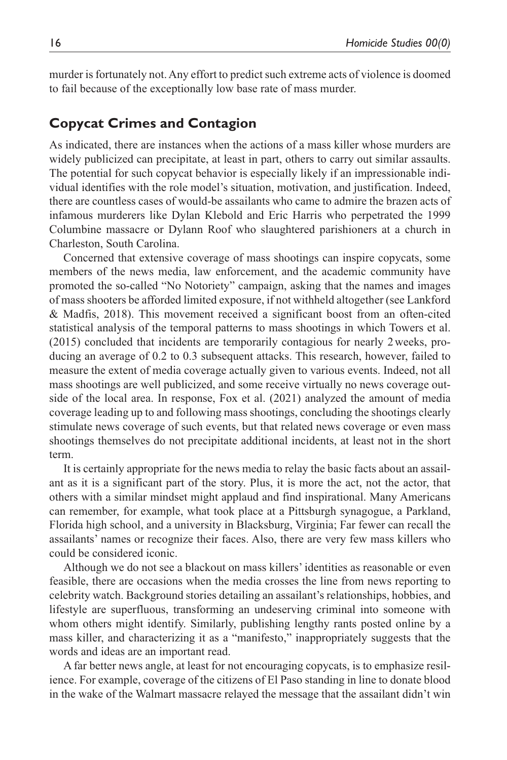murder is fortunately not. Any effort to predict such extreme acts of violence is doomed to fail because of the exceptionally low base rate of mass murder.

### **Copycat Crimes and Contagion**

As indicated, there are instances when the actions of a mass killer whose murders are widely publicized can precipitate, at least in part, others to carry out similar assaults. The potential for such copycat behavior is especially likely if an impressionable individual identifies with the role model's situation, motivation, and justification. Indeed, there are countless cases of would-be assailants who came to admire the brazen acts of infamous murderers like Dylan Klebold and Eric Harris who perpetrated the 1999 Columbine massacre or Dylann Roof who slaughtered parishioners at a church in Charleston, South Carolina.

Concerned that extensive coverage of mass shootings can inspire copycats, some members of the news media, law enforcement, and the academic community have promoted the so-called "No Notoriety" campaign, asking that the names and images of mass shooters be afforded limited exposure, if not withheld altogether (see Lankford & Madfis, 2018). This movement received a significant boost from an often-cited statistical analysis of the temporal patterns to mass shootings in which Towers et al. (2015) concluded that incidents are temporarily contagious for nearly 2weeks, producing an average of 0.2 to 0.3 subsequent attacks. This research, however, failed to measure the extent of media coverage actually given to various events. Indeed, not all mass shootings are well publicized, and some receive virtually no news coverage outside of the local area. In response, Fox et al. (2021) analyzed the amount of media coverage leading up to and following mass shootings, concluding the shootings clearly stimulate news coverage of such events, but that related news coverage or even mass shootings themselves do not precipitate additional incidents, at least not in the short term.

It is certainly appropriate for the news media to relay the basic facts about an assailant as it is a significant part of the story. Plus, it is more the act, not the actor, that others with a similar mindset might applaud and find inspirational. Many Americans can remember, for example, what took place at a Pittsburgh synagogue, a Parkland, Florida high school, and a university in Blacksburg, Virginia; Far fewer can recall the assailants' names or recognize their faces. Also, there are very few mass killers who could be considered iconic.

Although we do not see a blackout on mass killers' identities as reasonable or even feasible, there are occasions when the media crosses the line from news reporting to celebrity watch. Background stories detailing an assailant's relationships, hobbies, and lifestyle are superfluous, transforming an undeserving criminal into someone with whom others might identify. Similarly, publishing lengthy rants posted online by a mass killer, and characterizing it as a "manifesto," inappropriately suggests that the words and ideas are an important read.

A far better news angle, at least for not encouraging copycats, is to emphasize resilience. For example, coverage of the citizens of El Paso standing in line to donate blood in the wake of the Walmart massacre relayed the message that the assailant didn't win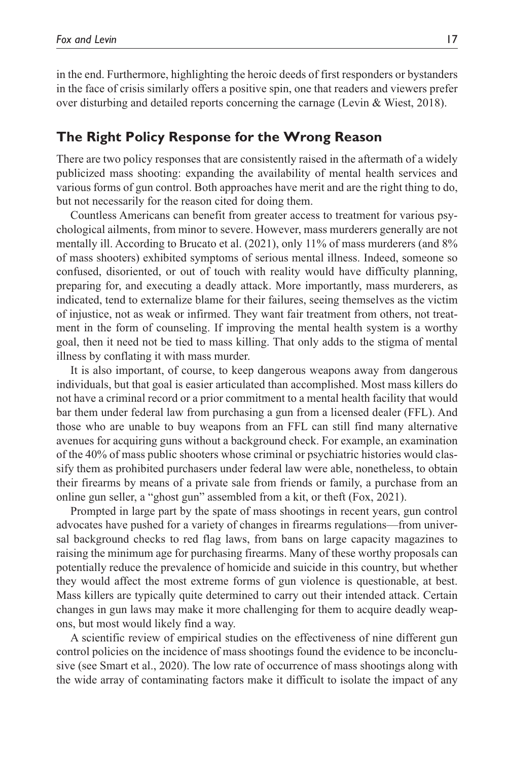in the end. Furthermore, highlighting the heroic deeds of first responders or bystanders in the face of crisis similarly offers a positive spin, one that readers and viewers prefer over disturbing and detailed reports concerning the carnage (Levin & Wiest, 2018).

# **The Right Policy Response for the Wrong Reason**

There are two policy responses that are consistently raised in the aftermath of a widely publicized mass shooting: expanding the availability of mental health services and various forms of gun control. Both approaches have merit and are the right thing to do, but not necessarily for the reason cited for doing them.

Countless Americans can benefit from greater access to treatment for various psychological ailments, from minor to severe. However, mass murderers generally are not mentally ill. According to Brucato et al. (2021), only 11% of mass murderers (and 8% of mass shooters) exhibited symptoms of serious mental illness. Indeed, someone so confused, disoriented, or out of touch with reality would have difficulty planning, preparing for, and executing a deadly attack. More importantly, mass murderers, as indicated, tend to externalize blame for their failures, seeing themselves as the victim of injustice, not as weak or infirmed. They want fair treatment from others, not treatment in the form of counseling. If improving the mental health system is a worthy goal, then it need not be tied to mass killing. That only adds to the stigma of mental illness by conflating it with mass murder.

It is also important, of course, to keep dangerous weapons away from dangerous individuals, but that goal is easier articulated than accomplished. Most mass killers do not have a criminal record or a prior commitment to a mental health facility that would bar them under federal law from purchasing a gun from a licensed dealer (FFL). And those who are unable to buy weapons from an FFL can still find many alternative avenues for acquiring guns without a background check. For example, an examination of the 40% of mass public shooters whose criminal or psychiatric histories would classify them as prohibited purchasers under federal law were able, nonetheless, to obtain their firearms by means of a private sale from friends or family, a purchase from an online gun seller, a "ghost gun" assembled from a kit, or theft (Fox, 2021).

Prompted in large part by the spate of mass shootings in recent years, gun control advocates have pushed for a variety of changes in firearms regulations—from universal background checks to red flag laws, from bans on large capacity magazines to raising the minimum age for purchasing firearms. Many of these worthy proposals can potentially reduce the prevalence of homicide and suicide in this country, but whether they would affect the most extreme forms of gun violence is questionable, at best. Mass killers are typically quite determined to carry out their intended attack. Certain changes in gun laws may make it more challenging for them to acquire deadly weapons, but most would likely find a way.

A scientific review of empirical studies on the effectiveness of nine different gun control policies on the incidence of mass shootings found the evidence to be inconclusive (see Smart et al., 2020). The low rate of occurrence of mass shootings along with the wide array of contaminating factors make it difficult to isolate the impact of any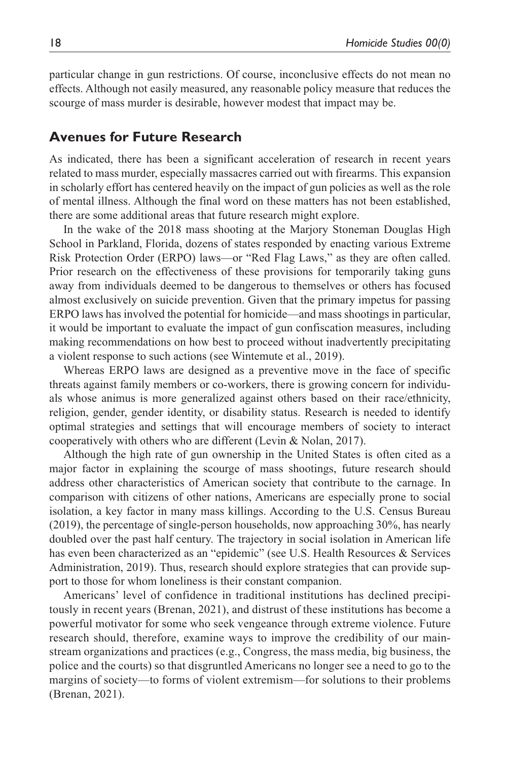particular change in gun restrictions. Of course, inconclusive effects do not mean no effects. Although not easily measured, any reasonable policy measure that reduces the scourge of mass murder is desirable, however modest that impact may be.

### **Avenues for Future Research**

As indicated, there has been a significant acceleration of research in recent years related to mass murder, especially massacres carried out with firearms. This expansion in scholarly effort has centered heavily on the impact of gun policies as well as the role of mental illness. Although the final word on these matters has not been established, there are some additional areas that future research might explore.

In the wake of the 2018 mass shooting at the Marjory Stoneman Douglas High School in Parkland, Florida, dozens of states responded by enacting various Extreme Risk Protection Order (ERPO) laws—or "Red Flag Laws," as they are often called. Prior research on the effectiveness of these provisions for temporarily taking guns away from individuals deemed to be dangerous to themselves or others has focused almost exclusively on suicide prevention. Given that the primary impetus for passing ERPO laws has involved the potential for homicide—and mass shootings in particular, it would be important to evaluate the impact of gun confiscation measures, including making recommendations on how best to proceed without inadvertently precipitating a violent response to such actions (see Wintemute et al., 2019).

Whereas ERPO laws are designed as a preventive move in the face of specific threats against family members or co-workers, there is growing concern for individuals whose animus is more generalized against others based on their race/ethnicity, religion, gender, gender identity, or disability status. Research is needed to identify optimal strategies and settings that will encourage members of society to interact cooperatively with others who are different (Levin & Nolan, 2017).

Although the high rate of gun ownership in the United States is often cited as a major factor in explaining the scourge of mass shootings, future research should address other characteristics of American society that contribute to the carnage. In comparison with citizens of other nations, Americans are especially prone to social isolation, a key factor in many mass killings. According to the U.S. Census Bureau (2019), the percentage of single-person households, now approaching 30%, has nearly doubled over the past half century. The trajectory in social isolation in American life has even been characterized as an "epidemic" (see U.S. Health Resources & Services Administration, 2019). Thus, research should explore strategies that can provide support to those for whom loneliness is their constant companion.

Americans' level of confidence in traditional institutions has declined precipitously in recent years (Brenan, 2021), and distrust of these institutions has become a powerful motivator for some who seek vengeance through extreme violence. Future research should, therefore, examine ways to improve the credibility of our mainstream organizations and practices (e.g., Congress, the mass media, big business, the police and the courts) so that disgruntled Americans no longer see a need to go to the margins of society—to forms of violent extremism—for solutions to their problems (Brenan, 2021).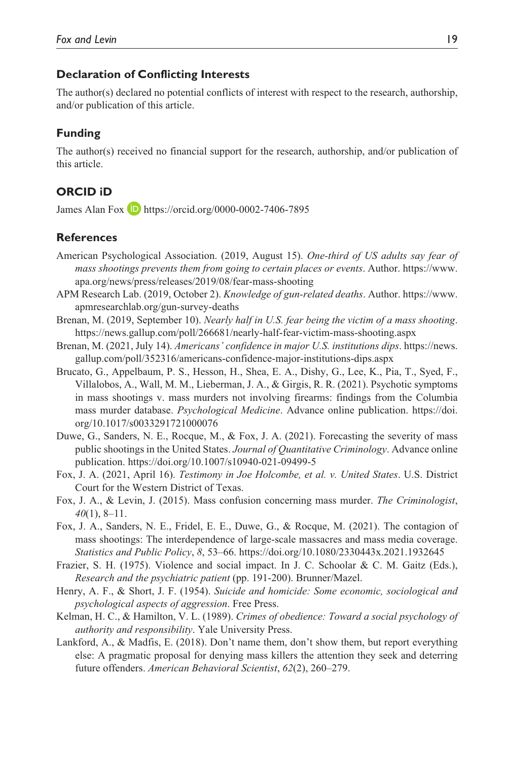#### **Declaration of Conflicting Interests**

The author(s) declared no potential conflicts of interest with respect to the research, authorship, and/or publication of this article.

### **Funding**

The author(s) received no financial support for the research, authorship, and/or publication of this article.

### **ORCID iD**

James Alan Fox **D** <https://orcid.org/0000-0002-7406-7895>

#### **References**

- American Psychological Association. (2019, August 15). *One-third of US adults say fear of mass shootings prevents them from going to certain places or events*. Author. [https://www.](https://www.apa.org/news/press/releases/2019/08/fear-mass-shooting) [apa.org/news/press/releases/2019/08/fear-mass-shooting](https://www.apa.org/news/press/releases/2019/08/fear-mass-shooting)
- APM Research Lab. (2019, October 2). *Knowledge of gun-related deaths*. Author. [https://www.](https://www.apmresearchlab.org/gun-survey-deaths) [apmresearchlab.org/gun-survey-deaths](https://www.apmresearchlab.org/gun-survey-deaths)
- Brenan, M. (2019, September 10). *Nearly half in U.S. fear being the victim of a mass shooting*. <https://news.gallup.com/poll/266681/nearly-half-fear-victim-mass-shooting.aspx>
- Brenan, M. (2021, July 14). *Americans' confidence in major U.S. institutions dips*. [https://news.](https://news.gallup.com/poll/352316/americans-confidence-major-institutions-dips.aspx) [gallup.com/poll/352316/americans-confidence-major-institutions-dips.aspx](https://news.gallup.com/poll/352316/americans-confidence-major-institutions-dips.aspx)
- Brucato, G., Appelbaum, P. S., Hesson, H., Shea, E. A., Dishy, G., Lee, K., Pia, T., Syed, F., Villalobos, A., Wall, M. M., Lieberman, J. A., & Girgis, R. R. (2021). Psychotic symptoms in mass shootings v. mass murders not involving firearms: findings from the Columbia mass murder database. *Psychological Medicine*. Advance online publication. [https://doi.](https://doi.org/10.1017/s0033291721000076) [org/10.1017/s0033291721000076](https://doi.org/10.1017/s0033291721000076)
- Duwe, G., Sanders, N. E., Rocque, M., & Fox, J. A. (2021). Forecasting the severity of mass public shootings in the United States. *Journal of Quantitative Criminology*. Advance online publication.<https://doi.org/10.1007/s10940-021-09499-5>
- Fox, J. A. (2021, April 16). *Testimony in Joe Holcombe, et al. v. United States*. U.S. District Court for the Western District of Texas.
- Fox, J. A., & Levin, J. (2015). Mass confusion concerning mass murder. *The Criminologist*, *40*(1), 8–11.
- Fox, J. A., Sanders, N. E., Fridel, E. E., Duwe, G., & Rocque, M. (2021). The contagion of mass shootings: The interdependence of large-scale massacres and mass media coverage. *Statistics and Public Policy*, *8*, 53–66. <https://doi.org/10.1080/2330443x.2021.1932645>
- Frazier, S. H. (1975). Violence and social impact. In J. C. Schoolar & C. M. Gaitz (Eds.), *Research and the psychiatric patient* (pp. 191-200). Brunner/Mazel.
- Henry, A. F., & Short, J. F. (1954). *Suicide and homicide: Some economic, sociological and psychological aspects of aggression*. Free Press.
- Kelman, H. C., & Hamilton, V. L. (1989). *Crimes of obedience: Toward a social psychology of authority and responsibility*. Yale University Press.
- Lankford, A., & Madfis, E. (2018). Don't name them, don't show them, but report everything else: A pragmatic proposal for denying mass killers the attention they seek and deterring future offenders. *American Behavioral Scientist*, *62*(2), 260–279.